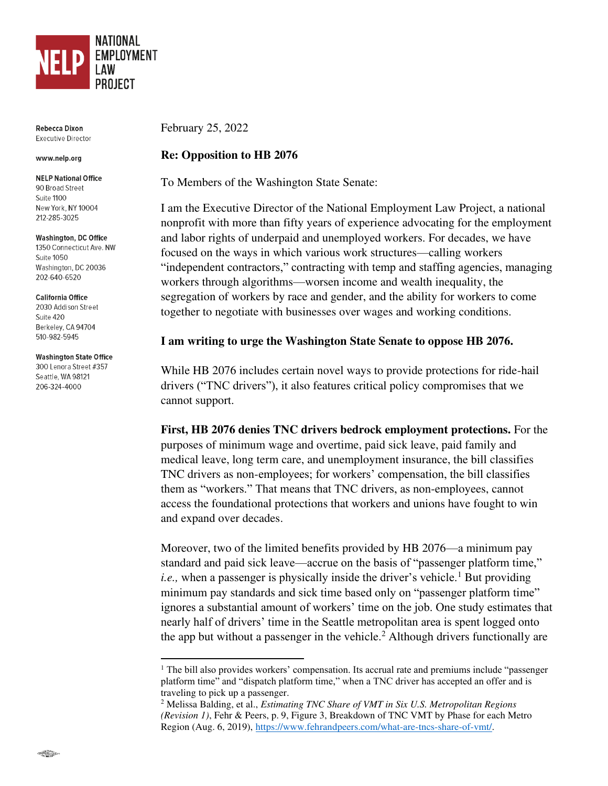

**Rebecca Dixon Executive Director** 

#### www.nelp.org

**NELP National Office** 90 Broad Street Suite 1100 New York, NY 10004 212-285-3025

**Washington, DC Office** 1350 Connecticut Ave. NW Suite 1050 Washington, DC 20036 202-640-6520

### **California Office**

2030 Addison Street Suite 420 Berkeley, CA 94704 510-982-5945

### **Washington State Office**

300 Lenora Street #357 Seattle, WA 98121 206-324-4000

February 25, 2022

# **Re: Opposition to HB 2076**

To Members of the Washington State Senate:

I am the Executive Director of the National Employment Law Project, a national nonprofit with more than fifty years of experience advocating for the employment and labor rights of underpaid and unemployed workers. For decades, we have focused on the ways in which various work structures—calling workers "independent contractors," contracting with temp and staffing agencies, managing workers through algorithms—worsen income and wealth inequality, the segregation of workers by race and gender, and the ability for workers to come together to negotiate with businesses over wages and working conditions.

## **I am writing to urge the Washington State Senate to oppose HB 2076.**

While HB 2076 includes certain novel ways to provide protections for ride-hail drivers ("TNC drivers"), it also features critical policy compromises that we cannot support.

**First, HB 2076 denies TNC drivers bedrock employment protections.** For the purposes of minimum wage and overtime, paid sick leave, paid family and medical leave, long term care, and unemployment insurance, the bill classifies TNC drivers as non-employees; for workers' compensation, the bill classifies them as "workers." That means that TNC drivers, as non-employees, cannot access the foundational protections that workers and unions have fought to win and expand over decades.

Moreover, two of the limited benefits provided by HB 2076—a minimum pay standard and paid sick leave—accrue on the basis of "passenger platform time," *i.e.*, when a passenger is physically inside the driver's vehicle.<sup>1</sup> But providing minimum pay standards and sick time based only on "passenger platform time" ignores a substantial amount of workers' time on the job. One study estimates that nearly half of drivers' time in the Seattle metropolitan area is spent logged onto the app but without a passenger in the vehicle.<sup>2</sup> Although drivers functionally are

<sup>&</sup>lt;sup>1</sup> The bill also provides workers' compensation. Its accrual rate and premiums include "passenger" platform time" and "dispatch platform time," when a TNC driver has accepted an offer and is traveling to pick up a passenger.

<sup>2</sup> Melissa Balding, et al., *Estimating TNC Share of VMT in Six U.S. Metropolitan Regions (Revision 1)*, Fehr & Peers, p. 9, Figure 3, Breakdown of TNC VMT by Phase for each Metro Region (Aug. 6, 2019), [https://www.fehrandpeers.com/what-are-tncs-share-of-vmt/.](https://www.fehrandpeers.com/what-are-tncs-share-of-vmt/)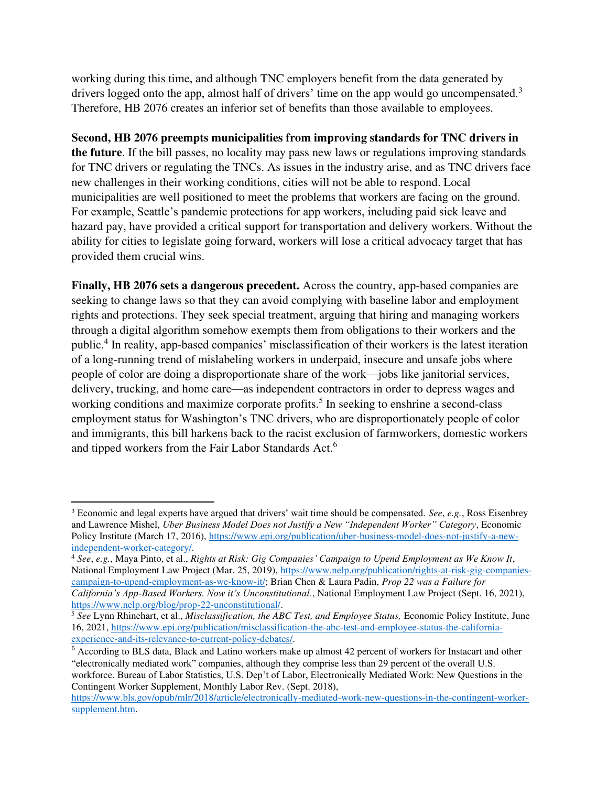working during this time, and although TNC employers benefit from the data generated by drivers logged onto the app, almost half of drivers' time on the app would go uncompensated.<sup>3</sup> Therefore, HB 2076 creates an inferior set of benefits than those available to employees.

**Second, HB 2076 preempts municipalities from improving standards for TNC drivers in the future**. If the bill passes, no locality may pass new laws or regulations improving standards for TNC drivers or regulating the TNCs. As issues in the industry arise, and as TNC drivers face new challenges in their working conditions, cities will not be able to respond. Local municipalities are well positioned to meet the problems that workers are facing on the ground. For example, Seattle's pandemic protections for app workers, including paid sick leave and hazard pay, have provided a critical support for transportation and delivery workers. Without the ability for cities to legislate going forward, workers will lose a critical advocacy target that has provided them crucial wins.

**Finally, HB 2076 sets a dangerous precedent.** Across the country, app-based companies are seeking to change laws so that they can avoid complying with baseline labor and employment rights and protections. They seek special treatment, arguing that hiring and managing workers through a digital algorithm somehow exempts them from obligations to their workers and the public.<sup>4</sup> In reality, app-based companies' misclassification of their workers is the latest iteration of a long-running trend of mislabeling workers in underpaid, insecure and unsafe jobs where people of color are doing a disproportionate share of the work—jobs like janitorial services, delivery, trucking, and home care—as independent contractors in order to depress wages and working conditions and maximize corporate profits.<sup>5</sup> In seeking to enshrine a second-class employment status for Washington's TNC drivers, who are disproportionately people of color and immigrants, this bill harkens back to the racist exclusion of farmworkers, domestic workers and tipped workers from the Fair Labor Standards Act.<sup>6</sup>

<sup>3</sup> Economic and legal experts have argued that drivers' wait time should be compensated. *See*, *e.g.*, Ross Eisenbrey and Lawrence Mishel, *Uber Business Model Does not Justify a New "Independent Worker" Category*, Economic Policy Institute (March 17, 2016), [https://www.epi.org/publication/uber-business-model-does-not-justify-a-new](https://www.epi.org/publication/uber-business-model-does-not-justify-a-new-independent-worker-category/)[independent-worker-category/.](https://www.epi.org/publication/uber-business-model-does-not-justify-a-new-independent-worker-category/)

<sup>4</sup> *See*, *e.g.*, Maya Pinto, et al., *Rights at Risk: Gig Companies' Campaign to Upend Employment as We Know It*, National Employment Law Project (Mar. 25, 2019), [https://www.nelp.org/publication/rights-at-risk-gig-companies](https://www.nelp.org/publication/rights-at-risk-gig-companies-campaign-to-upend-employment-as-we-know-it/)[campaign-to-upend-employment-as-we-know-it/;](https://www.nelp.org/publication/rights-at-risk-gig-companies-campaign-to-upend-employment-as-we-know-it/) Brian Chen & Laura Padin, *Prop 22 was a Failure for California's App-Based Workers. Now it's Unconstitutional.*, National Employment Law Project (Sept. 16, 2021), [https://www.nelp.org/blog/prop-22-unconstitutional/.](https://www.nelp.org/blog/prop-22-unconstitutional/)

<sup>5</sup> *See* Lynn Rhinehart, et al., *Misclassification, the ABC Test, and Employee Status,* Economic Policy Institute, June 16, 2021, [https://www.epi.org/publication/misclassification-the-abc-test-and-employee-status-the-california](https://www.epi.org/publication/misclassification-the-abc-test-and-employee-status-the-california-experience-and-its-relevance-to-current-policy-debates/)[experience-and-its-relevance-to-current-policy-debates/.](https://www.epi.org/publication/misclassification-the-abc-test-and-employee-status-the-california-experience-and-its-relevance-to-current-policy-debates/)

<sup>6</sup> According to BLS data, Black and Latino workers make up almost 42 percent of workers for Instacart and other "electronically mediated work" companies, although they comprise less than 29 percent of the overall U.S. workforce. Bureau of Labor Statistics, U.S. Dep't of Labor, Electronically Mediated Work: New Questions in the Contingent Worker Supplement, Monthly Labor Rev. (Sept. 2018),

[https://www.bls.gov/opub/mlr/2018/article/electronically-mediated-work-new-questions-in-the-contingent-worker](https://www.bls.gov/opub/mlr/2018/article/electronically-mediated-work-new-questions-in-the-contingent-worker-supplement.htm)[supplement.htm.](https://www.bls.gov/opub/mlr/2018/article/electronically-mediated-work-new-questions-in-the-contingent-worker-supplement.htm)